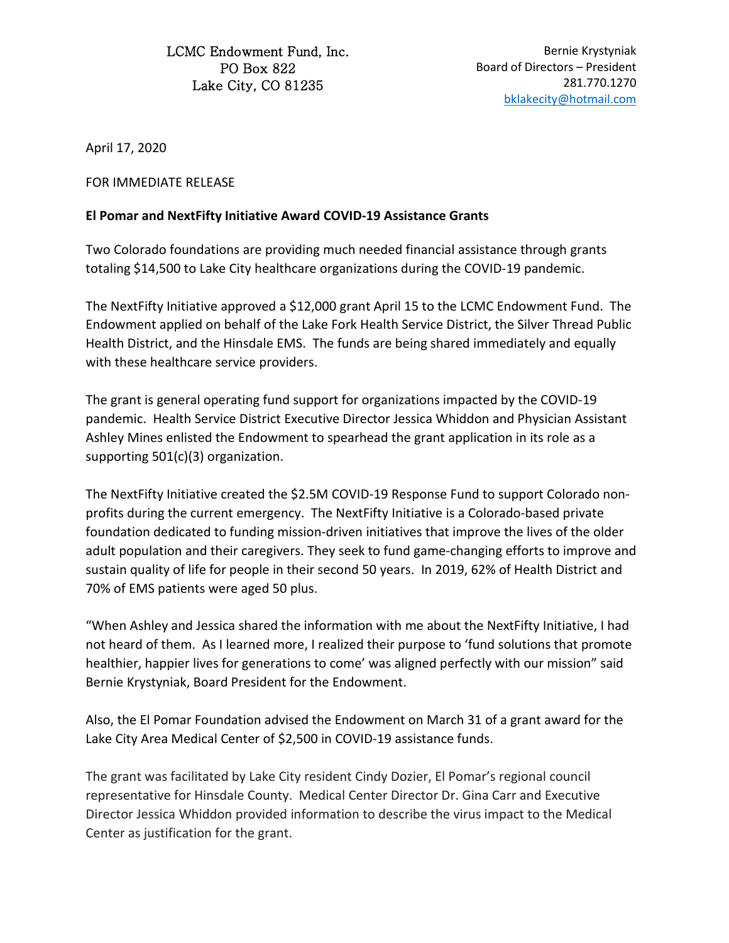LCMC Endowment Fund, Inc. PO Box 822 Lake City, CO 81235

Bernie Krystyniak Board of Directors – President 281.770.1270 [bklakecity@hotmail.com](mailto:bklakecity@hotmail.com)

April 17, 2020

FOR IMMEDIATE RELEASE

## **El Pomar and NextFifty Initiative Award COVID-19 Assistance Grants**

Two Colorado foundations are providing much needed financial assistance through grants totaling \$14,500 to Lake City healthcare organizations during the COVID-19 pandemic.

The NextFifty Initiative approved a \$12,000 grant April 15 to the LCMC Endowment Fund. The Endowment applied on behalf of the Lake Fork Health Service District, the Silver Thread Public Health District, and the Hinsdale EMS. The funds are being shared immediately and equally with these healthcare service providers.

The grant is general operating fund support for organizations impacted by the COVID-19 pandemic. Health Service District Executive Director Jessica Whiddon and Physician Assistant Ashley Mines enlisted the Endowment to spearhead the grant application in its role as a supporting 501(c)(3) organization.

The NextFifty Initiative created the \$2.5M COVID-19 Response Fund to support Colorado nonprofits during the current emergency. The NextFifty Initiative is a Colorado-based private foundation dedicated to funding mission-driven initiatives that improve the lives of the older adult population and their caregivers. They seek to fund game-changing efforts to improve and sustain quality of life for people in their second 50 years. In 2019, 62% of Health District and 70% of EMS patients were aged 50 plus.

"When Ashley and Jessica shared the information with me about the NextFifty Initiative, I had not heard of them. As I learned more, I realized their purpose to 'fund solutions that promote healthier, happier lives for generations to come' was aligned perfectly with our mission" said Bernie Krystyniak, Board President for the Endowment.

Also, the El Pomar Foundation advised the Endowment on March 31 of a grant award for the Lake City Area Medical Center of \$2,500 in COVID-19 assistance funds.

The grant was facilitated by Lake City resident Cindy Dozier, El Pomar's regional council representative for Hinsdale County. Medical Center Director Dr. Gina Carr and Executive Director Jessica Whiddon provided information to describe the virus impact to the Medical Center as justification for the grant.